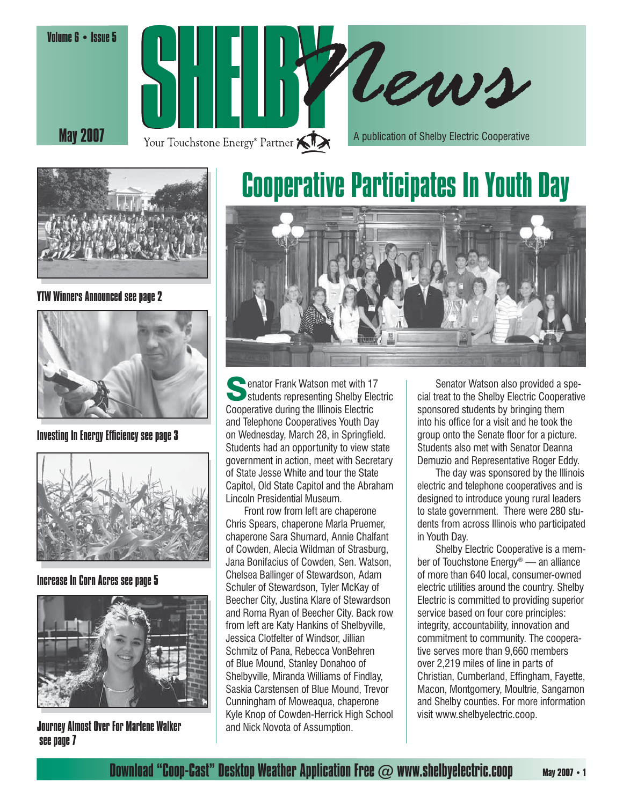





YTW Winners Announced see page 2



Investing In Energy Efficiency see page 3



Increase In Corn Acres see page 5



Journey Almost Over For Marlene Walker see page 7

# Cooperative Participates In Youth Day



Senator Frank Watson met with 17<br>
Students representing Shelby Electric Cooperative during the Illinois Electric and Telephone Cooperatives Youth Day on Wednesday, March 28, in Springfield. Students had an opportunity to view state government in action, meet with Secretary of State Jesse White and tour the State Capitol, Old State Capitol and the Abraham Lincoln Presidential Museum.

 Front row from left are chaperone Chris Spears, chaperone Marla Pruemer, chaperone Sara Shumard, Annie Chalfant of Cowden, Alecia Wildman of Strasburg, Jana Bonifacius of Cowden, Sen. Watson, Chelsea Ballinger of Stewardson, Adam Schuler of Stewardson, Tyler McKay of Beecher City, Justina Klare of Stewardson and Roma Ryan of Beecher City. Back row from left are Katy Hankins of Shelbyville, Jessica Clotfelter of Windsor, Jillian Schmitz of Pana, Rebecca VonBehren of Blue Mound, Stanley Donahoo of Shelbyville, Miranda Williams of Findlay, Saskia Carstensen of Blue Mound, Trevor Cunningham of Moweaqua, chaperone Kyle Knop of Cowden-Herrick High School and Nick Novota of Assumption.

 Senator Watson also provided a special treat to the Shelby Electric Cooperative sponsored students by bringing them into his office for a visit and he took the group onto the Senate floor for a picture. Students also met with Senator Deanna Demuzio and Representative Roger Eddy.

 The day was sponsored by the Illinois electric and telephone cooperatives and is designed to introduce young rural leaders to state government. There were 280 students from across Illinois who participated in Youth Day.

 Shelby Electric Cooperative is a member of Touchstone Energy® — an alliance of more than 640 local, consumer-owned electric utilities around the country. Shelby Electric is committed to providing superior service based on four core principles: integrity, accountability, innovation and commitment to community. The cooperative serves more than 9,660 members over 2,219 miles of line in parts of Christian, Cumberland, Effingham, Fayette, Macon, Montgomery, Moultrie, Sangamon and Shelby counties. For more information visit www.shelbyelectric.coop.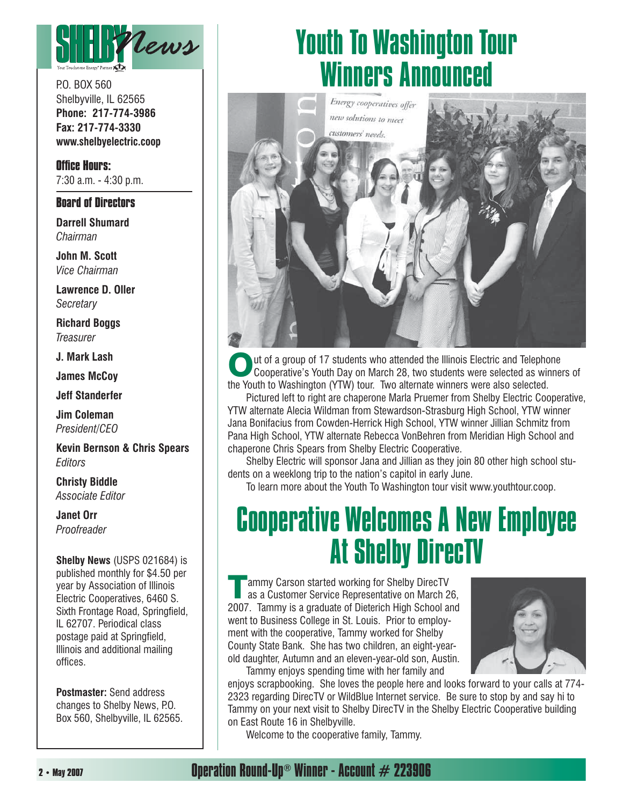

P.O. BOX 560 Shelbyville, IL 62565 **Phone: 217-774-3986 Fax: 217-774-3330 www.shelbyelectric.coop**

**Office Hours:** 7:30 a.m. - 4:30 p.m.

#### **Board of Directors**

**Darrell Shumard** *Chairman*

**John M. Scott** *Vice Chairman*

**Lawrence D. Oller** *Secretary*

**Richard Boggs** *Treasurer*

**J. Mark Lash**

**James McCoy**

**Jeff Standerfer**

**Jim Coleman** *President/CEO*

**Kevin Bernson & Chris Spears** *Editors*

**Christy Biddle** *Associate Editor*

**Janet Orr** *Proofreader*

**Shelby News** (USPS 021684) is published monthly for \$4.50 per year by Association of Illinois Electric Cooperatives, 6460 S. Sixth Frontage Road, Springfield, IL 62707. Periodical class postage paid at Springfield, Illinois and additional mailing offices.

**Postmaster:** Send address changes to Shelby News, P.O. Box 560, Shelbyville, IL 62565.

### Youth To Washington Tour Winners Announced



Out of a group of 17 students who attended the Illinois Electric and Telephone<br>Cooperative's Youth Day on March 28, two students were selected as winners of the Youth to Washington (YTW) tour. Two alternate winners were also selected.

 Pictured left to right are chaperone Marla Pruemer from Shelby Electric Cooperative, YTW alternate Alecia Wildman from Stewardson-Strasburg High School, YTW winner Jana Bonifacius from Cowden-Herrick High School, YTW winner Jillian Schmitz from Pana High School, YTW alternate Rebecca VonBehren from Meridian High School and chaperone Chris Spears from Shelby Electric Cooperative.

 Shelby Electric will sponsor Jana and Jillian as they join 80 other high school students on a weeklong trip to the nation's capitol in early June.

To learn more about the Youth To Washington tour visit www.youthtour.coop.

### Cooperative Welcomes A New Employee At Shelby DirecTV

**Tammy Carson started working for Shelby DirecTV**<br>as a Customer Service Representative on March 26, 2007. Tammy is a graduate of Dieterich High School and went to Business College in St. Louis. Prior to employment with the cooperative, Tammy worked for Shelby County State Bank. She has two children, an eight-yearold daughter, Autumn and an eleven-year-old son, Austin. Tammy enjoys spending time with her family and



enjoys scrapbooking. She loves the people here and looks forward to your calls at 774- 2323 regarding DirecTV or WildBlue Internet service. Be sure to stop by and say hi to Tammy on your next visit to Shelby DirecTV in the Shelby Electric Cooperative building on East Route 16 in Shelbyville.

Welcome to the cooperative family, Tammy.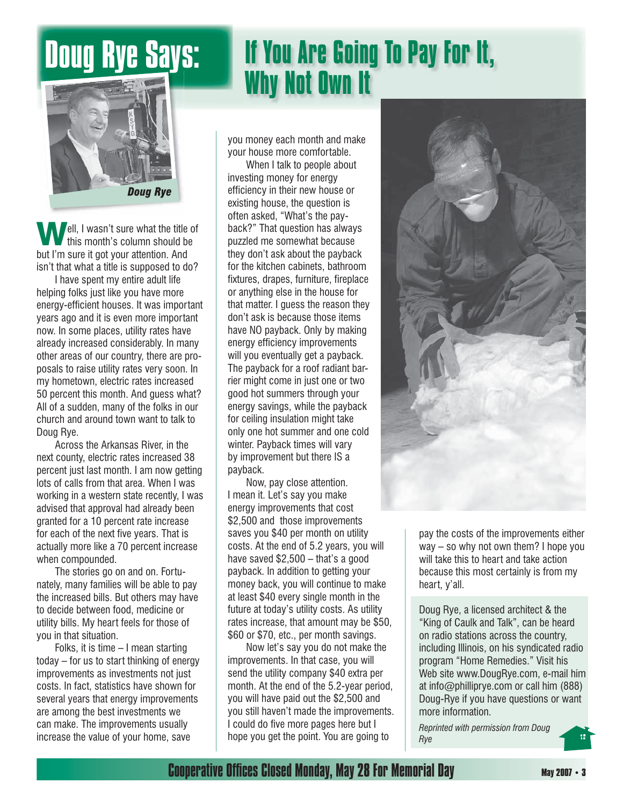### Doug Rye Says: **If You Are Going To Pay For It, Why Not Own It**



**Well, I wasn't sure what the title of** this month's column should be but I'm sure it got your attention. And isn't that what a title is supposed to do?

 I have spent my entire adult life helping folks just like you have more energy-efficient houses. It was important years ago and it is even more important now. In some places, utility rates have already increased considerably. In many other areas of our country, there are proposals to raise utility rates very soon. In my hometown, electric rates increased 50 percent this month. And guess what? All of a sudden, many of the folks in our church and around town want to talk to Doug Rye.

 Across the Arkansas River, in the next county, electric rates increased 38 percent just last month. I am now getting lots of calls from that area. When I was working in a western state recently, I was advised that approval had already been granted for a 10 percent rate increase for each of the next five years. That is actually more like a 70 percent increase when compounded.

 The stories go on and on. Fortunately, many families will be able to pay the increased bills. But others may have to decide between food, medicine or utility bills. My heart feels for those of you in that situation.

 Folks, it is time – I mean starting today – for us to start thinking of energy improvements as investments not just costs. In fact, statistics have shown for several years that energy improvements are among the best investments we can make. The improvements usually increase the value of your home, save

you money each month and make your house more comfortable.

 When I talk to people about investing money for energy efficiency in their new house or existing house, the question is often asked, "What's the payback?" That question has always puzzled me somewhat because they don't ask about the payback for the kitchen cabinets, bathroom fixtures, drapes, furniture, fireplace or anything else in the house for that matter. I guess the reason they don't ask is because those items have NO payback. Only by making energy efficiency improvements will you eventually get a payback. The payback for a roof radiant barrier might come in just one or two good hot summers through your energy savings, while the payback for ceiling insulation might take only one hot summer and one cold winter. Payback times will vary by improvement but there IS a payback.

 Now, pay close attention. I mean it. Let's say you make energy improvements that cost \$2,500 and those improvements saves you \$40 per month on utility costs. At the end of 5.2 years, you will have saved \$2,500 – that's a good payback. In addition to getting your money back, you will continue to make at least \$40 every single month in the future at today's utility costs. As utility rates increase, that amount may be \$50, \$60 or \$70, etc., per month savings.

 Now let's say you do not make the improvements. In that case, you will send the utility company \$40 extra per month. At the end of the 5.2-year period, you will have paid out the \$2,500 and you still haven't made the improvements. I could do five more pages here but I hope you get the point. You are going to



pay the costs of the improvements either way – so why not own them? I hope you will take this to heart and take action because this most certainly is from my heart, y'all.

Doug Rye, a licensed architect & the "King of Caulk and Talk", can be heard on radio stations across the country, including Illinois, on his syndicated radio program "Home Remedies." Visit his Web site www.DougRye.com, e-mail him at info@philliprye.com or call him (888) Doug-Rye if you have questions or want more information.

*Reprinted with permission from Doug Rye*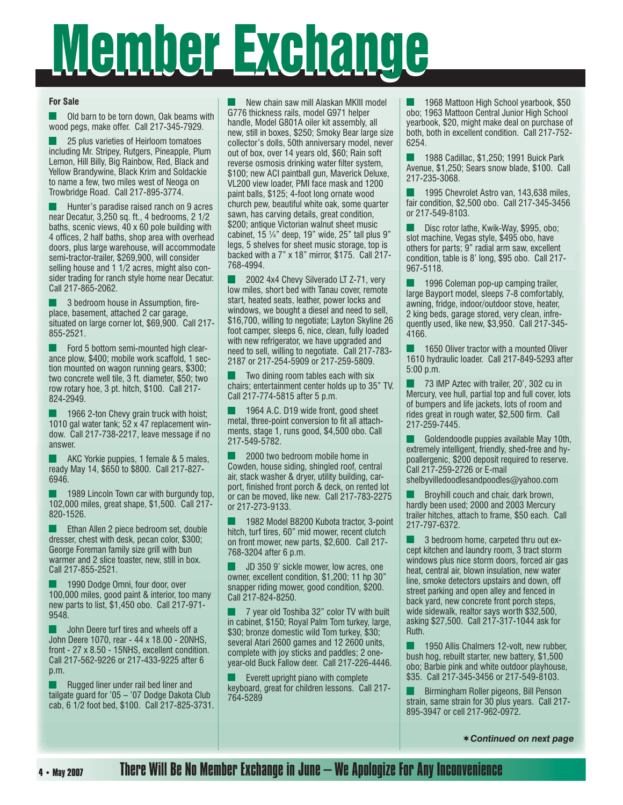# Member Exchange

#### **For Sale**

 Old barn to be torn down, Oak beams with wood pegs, make offer. Call 217-345-7929.

 25 plus varieties of Heirloom tomatoes including Mr. Stripey, Rutgers, Pineapple, Plum Lemon, Hill Billy, Big Rainbow, Red, Black and Yellow Brandywine, Black Krim and Soldackie to name a few, two miles west of Neoga on Trowbridge Road. Call 217-895-3774.

 Hunter's paradise raised ranch on 9 acres near Decatur, 3,250 sq. ft., 4 bedrooms, 2 1/2 baths, scenic views, 40 x 60 pole building with 4 offices, 2 half baths, shop area with overhead doors, plus large warehouse, will accommodate semi-tractor-trailer, \$269,900, will consider selling house and 1 1/2 acres, might also consider trading for ranch style home near Decatur. Call 217-865-2062.

 3 bedroom house in Assumption, fireplace, basement, attached 2 car garage, situated on large corner lot, \$69,900. Call 217- 855-2521.

 Ford 5 bottom semi-mounted high clearance plow, \$400; mobile work scaffold, 1 section mounted on wagon running gears, \$300; two concrete well tile, 3 ft. diameter, \$50; two row rotary hoe, 3 pt. hitch, \$100. Call 217- 824-2949.

 1966 2-ton Chevy grain truck with hoist; 1010 gal water tank; 52 x 47 replacement window. Call 217-738-2217, leave message if no answer.

 AKC Yorkie puppies, 1 female & 5 males, ready May 14, \$650 to \$800. Call 217-827- 6946.

 1989 Lincoln Town car with burgundy top, 102,000 miles, great shape, \$1,500. Call 217- 820-1526.

**Ethan Allen 2 piece bedroom set, double** dresser, chest with desk, pecan color, \$300; George Foreman family size grill with bun warmer and 2 slice toaster, new, still in box. Call 217-855-2521.

 1990 Dodge Omni, four door, over 100,000 miles, good paint & interior, too many new parts to list, \$1,450 obo. Call 217-971- 9548.

 John Deere turf tires and wheels off a John Deere 1070, rear - 44 x 18.00 - 20NHS, front - 27 x 8.50 - 15NHS, excellent condition. Call 217-562-9226 or 217-433-9225 after 6 p.m.

 Rugged liner under rail bed liner and tailgate guard for '05 – '07 Dodge Dakota Club cab, 6 1/2 foot bed, \$100. Call 217-825-3731.

 New chain saw mill Alaskan MKIII model G776 thickness rails, model G971 helper handle, Model G801A oiler kit assembly, all new, still in boxes, \$250; Smoky Bear large size collector's dolls, 50th anniversary model, never out of box, over 14 years old, \$60; Rain soft reverse osmosis drinking water filter system, \$100; new ACI paintball gun, Maverick Deluxe, VL200 view loader, PMI face mask and 1200 paint balls, \$125; 4-foot long ornate wood church pew, beautiful white oak, some quarter sawn, has carving details, great condition, \$200; antique Victorian walnut sheet music cabinet,  $15$   $\frac{1}{4}$ " deep,  $19$ " wide,  $25$ " tall plus  $9$ " legs, 5 shelves for sheet music storage, top is backed with a 7" x 18" mirror, \$175. Call 217- 768-4994.

 2002 4x4 Chevy Silverado LT Z-71, very low miles, short bed with Tanau cover, remote start, heated seats, leather, power locks and windows, we bought a diesel and need to sell, \$16,700, willing to negotiate; Layton Skyline 26 foot camper, sleeps 6, nice, clean, fully loaded with new refrigerator, we have upgraded and need to sell, willing to negotiate. Call 217-783- 2187 or 217-254-5909 or 217-259-5809.

 Two dining room tables each with six chairs; entertainment center holds up to 35" TV. Call 217-774-5815 after 5 p.m.

 1964 A.C. D19 wide front, good sheet metal, three-point conversion to fit all attachments, stage 1, runs good, \$4,500 obo. Call 217-549-5782.

 2000 two bedroom mobile home in Cowden, house siding, shingled roof, central air, stack washer & dryer, utility building, carport, finished front porch & deck, on rented lot or can be moved, like new. Call 217-783-2275 or 217-273-9133.

 1982 Model B8200 Kubota tractor, 3-point hitch, turf tires, 60" mid mower, recent clutch on front mower, new parts, \$2,600. Call 217- 768-3204 after 6 p.m.

 JD 350 9' sickle mower, low acres, one owner, excellent condition, \$1,200; 11 hp 30" snapper riding mower, good condition, \$200. Call 217-824-8250.

 7 year old Toshiba 32" color TV with built in cabinet, \$150; Royal Palm Tom turkey, large, \$30; bronze domestic wild Tom turkey, \$30; several Atari 2600 games and 12 2600 units, complete with joy sticks and paddles; 2 oneyear-old Buck Fallow deer. Call 217-226-4446.

 Everett upright piano with complete keyboard, great for children lessons. Call 217- 764-5289

 1968 Mattoon High School yearbook, \$50 obo; 1963 Mattoon Central Junior High School yearbook, \$20, might make deal on purchase of both, both in excellent condition. Call 217-752- 6254.

 1988 Cadillac, \$1,250; 1991 Buick Park Avenue, \$1,250; Sears snow blade, \$100. Call 217-235-3068.

 1995 Chevrolet Astro van, 143,638 miles, fair condition, \$2,500 obo. Call 217-345-3456 or 217-549-8103.

 Disc rotor lathe, Kwik-Way, \$995, obo; slot machine, Vegas style, \$495 obo, have others for parts; 9" radial arm saw, excellent condition, table is 8' long, \$95 obo. Call 217- 967-5118.

 1996 Coleman pop-up camping trailer, large Bayport model, sleeps 7-8 comfortably, awning, fridge, indoor/outdoor stove, heater, 2 king beds, garage stored, very clean, infrequently used, like new, \$3,950. Call 217-345- 4166.

 1650 Oliver tractor with a mounted Oliver 1610 hydraulic loader. Call 217-849-5293 after 5:00 p.m.

 73 IMP Aztec with trailer, 20', 302 cu in Mercury, vee hull, partial top and full cover, lots of bumpers and life jackets, lots of room and rides great in rough water, \$2,500 firm. Call 217-259-7445.

 Goldendoodle puppies available May 10th, extremely intelligent, friendly, shed-free and hypoallergenic, \$200 deposit required to reserve. Call 217-259-2726 or E-mail shelbyvilledoodlesandpoodles@yahoo.com

 Broyhill couch and chair, dark brown, hardly been used; 2000 and 2003 Mercury trailer hitches, attach to frame, \$50 each. Call 217-797-6372.

 3 bedroom home, carpeted thru out except kitchen and laundry room, 3 tract storm windows plus nice storm doors, forced air gas heat, central air, blown insulation, new water line, smoke detectors upstairs and down, off street parking and open alley and fenced in back yard, new concrete front porch steps, wide sidewalk, realtor says worth \$32,500, asking \$27,500. Call 217-317-1044 ask for Ruth.

 1950 Allis Chalmers 12-volt, new rubber, bush hog, rebuilt starter, new battery, \$1,500 obo; Barbie pink and white outdoor playhouse, \$35. Call 217-345-3456 or 217-549-8103.

 Birmingham Roller pigeons, Bill Penson strain, same strain for 30 plus years. Call 217- 895-3947 or cell 217-962-0972.

¨*Continued on next page*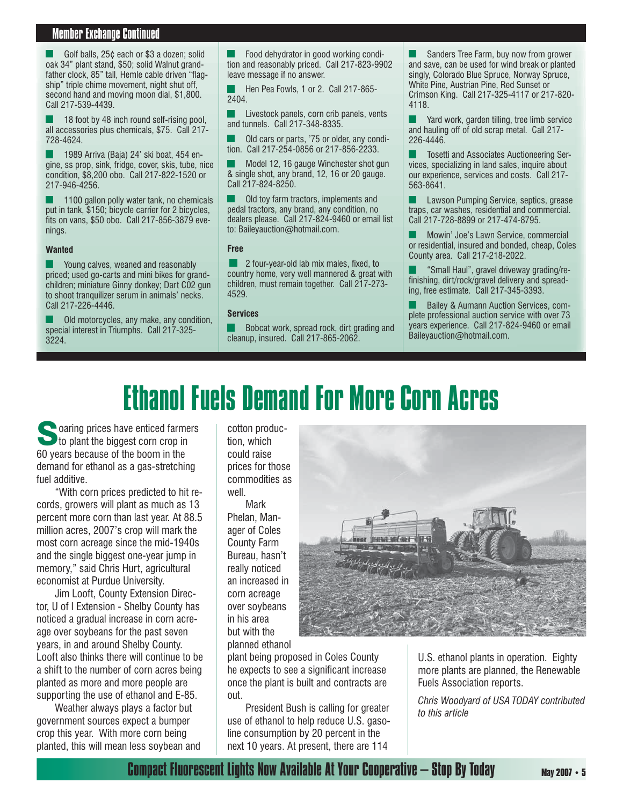#### *Member Exchange Continued* Member Exchange Continued

 Golf balls, 25¢ each or \$3 a dozen; solid oak 34" plant stand, \$50; solid Walnut grandfather clock, 85" tall, Hemle cable driven "flagship" triple chime movement, night shut off, second hand and moving moon dial, \$1,800. Call 217-539-4439.

18 foot by 48 inch round self-rising pool, all accessories plus chemicals, \$75. Call 217- 728-4624.

 1989 Arriva (Baja) 24' ski boat, 454 engine, ss prop, sink, fridge, cover, skis, tube, nice condition, \$8,200 obo. Call 217-822-1520 or 217-946-4256.

 1100 gallon polly water tank, no chemicals put in tank, \$150; bicycle carrier for 2 bicycles, fits on vans, \$50 obo. Call 217-856-3879 evenings.

#### **Wanted**

 Young calves, weaned and reasonably priced; used go-carts and mini bikes for grandchildren; miniature Ginny donkey; Dart C02 gun to shoot tranquilizer serum in animals' necks. Call 217-226-4446.

 Old motorcycles, any make, any condition, special interest in Triumphs. Call 217-325- 3224.

 Food dehydrator in good working condition and reasonably priced. Call 217-823-9902 leave message if no answer.

Hen Pea Fowls, 1 or 2. Call 217-865-2404.

 Livestock panels, corn crib panels, vents and tunnels. Call 217-348-8335.

 Old cars or parts, '75 or older, any condition. Call 217-254-0856 or 217-856-2233.

 Model 12, 16 gauge Winchester shot gun & single shot, any brand, 12, 16 or 20 gauge. Call 217-824-8250.

 Old toy farm tractors, implements and pedal tractors, any brand, any condition, no dealers please. Call 217-824-9460 or email list to: Baileyauction@hotmail.com.

#### **Free**

 2 four-year-old lab mix males, fixed, to country home, very well mannered & great with children, must remain together. Call 217-273- 4529.

#### **Services**

 Bobcat work, spread rock, dirt grading and cleanup, insured. Call 217-865-2062.

 Sanders Tree Farm, buy now from grower and save, can be used for wind break or planted singly, Colorado Blue Spruce, Norway Spruce, White Pine, Austrian Pine, Red Sunset or Crimson King. Call 217-325-4117 or 217-820- 4118.

**The Vard work, garden tilling, tree limb service** and hauling off of old scrap metal. Call 217- 226-4446.

 Tosetti and Associates Auctioneering Services, specializing in land sales, inquire about our experience, services and costs. Call 217- 563-8641.

 Lawson Pumping Service, septics, grease traps, car washes, residential and commercial. Call 217-728-8899 or 217-474-8795.

 Mowin' Joe's Lawn Service, commercial or residential, insured and bonded, cheap, Coles County area. Call 217-218-2022.

 "Small Haul", gravel driveway grading/refinishing, dirt/rock/gravel delivery and spreading, free estimate. Call 217-345-3393.

 Bailey & Aumann Auction Services, complete professional auction service with over 73 years experience. Call 217-824-9460 or email Baileyauction@hotmail.com.

## Ethanol Fuels Demand For More Corn Acres

**Solution** prices have enticed farmers to plant the biggest corn crop in 60 years because of the boom in the demand for ethanol as a gas-stretching fuel additive.

 "With corn prices predicted to hit records, growers will plant as much as 13 percent more corn than last year. At 88.5 million acres, 2007's crop will mark the most corn acreage since the mid-1940s and the single biggest one-year jump in memory," said Chris Hurt, agricultural economist at Purdue University.

 Jim Looft, County Extension Director, U of I Extension - Shelby County has noticed a gradual increase in corn acreage over soybeans for the past seven years, in and around Shelby County. Looft also thinks there will continue to be a shift to the number of corn acres being planted as more and more people are supporting the use of ethanol and E-85.

 Weather always plays a factor but government sources expect a bumper crop this year. With more corn being planted, this will mean less soybean and cotton production, which could raise prices for those commodities as well.

**Mark** Phelan, Manager of Coles County Farm Bureau, hasn't really noticed an increased in corn acreage over soybeans in his area but with the planned ethanol



plant being proposed in Coles County he expects to see a significant increase once the plant is built and contracts are out.

 President Bush is calling for greater use of ethanol to help reduce U.S. gasoline consumption by 20 percent in the next 10 years. At present, there are 114

U.S. ethanol plants in operation. Eighty more plants are planned, the Renewable Fuels Association reports.

*Chris Woodyard of USA TODAY contributed to this article*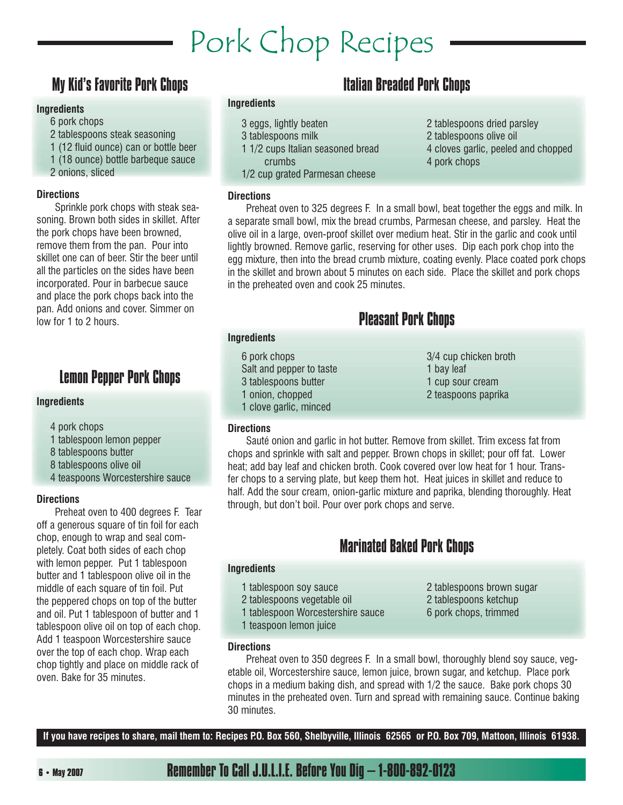# Pork Chop Recipes

### My Kid's Favorite Pork Chops

#### **Ingredients**

- 6 pork chops
- 2 tablespoons steak seasoning
- 1 (12 fluid ounce) can or bottle beer
- 1 (18 ounce) bottle barbeque sauce
- 2 onions, sliced

#### **Directions**

 Sprinkle pork chops with steak seasoning. Brown both sides in skillet. After the pork chops have been browned, remove them from the pan. Pour into skillet one can of beer. Stir the beer until all the particles on the sides have been incorporated. Pour in barbecue sauce and place the pork chops back into the pan. Add onions and cover. Simmer on low for 1 to 2 hours.

### Lemon Pepper Pork Chops

#### **Ingredients**

- 4 pork chops
- 1 tablespoon lemon pepper
- 8 tablespoons butter
- 8 tablespoons olive oil
- 4 teaspoons Worcestershire sauce

#### **Directions**

 Preheat oven to 400 degrees F. Tear off a generous square of tin foil for each chop, enough to wrap and seal completely. Coat both sides of each chop with lemon pepper. Put 1 tablespoon butter and 1 tablespoon olive oil in the middle of each square of tin foil. Put the peppered chops on top of the butter and oil. Put 1 tablespoon of butter and 1 tablespoon olive oil on top of each chop. Add 1 teaspoon Worcestershire sauce over the top of each chop. Wrap each chop tightly and place on middle rack of oven. Bake for 35 minutes.

#### **Ingredients**

**Directions**

- 3 eggs, lightly beaten
- 3 tablespoons milk
- 1 1/2 cups Italian seasoned bread crumbs
- 1/2 cup grated Parmesan cheese

### Italian Breaded Pork Chops

- 2 tablespoons dried parsley
- 2 tablespoons olive oil
- 4 cloves garlic, peeled and chopped
- 4 pork chops

 Preheat oven to 325 degrees F. In a small bowl, beat together the eggs and milk. In a separate small bowl, mix the bread crumbs, Parmesan cheese, and parsley. Heat the olive oil in a large, oven-proof skillet over medium heat. Stir in the garlic and cook until lightly browned. Remove garlic, reserving for other uses. Dip each pork chop into the egg mixture, then into the bread crumb mixture, coating evenly. Place coated pork chops in the skillet and brown about 5 minutes on each side. Place the skillet and pork chops in the preheated oven and cook 25 minutes.

### Pleasant Pork Chops

#### **Ingredients**

6 pork chops Salt and pepper to taste 3 tablespoons butter 1 onion, chopped 1 clove garlic, minced

3/4 cup chicken broth 1 bay leaf 1 cup sour cream 2 teaspoons paprika

#### **Directions**

 Sauté onion and garlic in hot butter. Remove from skillet. Trim excess fat from chops and sprinkle with salt and pepper. Brown chops in skillet; pour off fat. Lower heat; add bay leaf and chicken broth. Cook covered over low heat for 1 hour. Transfer chops to a serving plate, but keep them hot. Heat juices in skillet and reduce to half. Add the sour cream, onion-garlic mixture and paprika, blending thoroughly. Heat through, but don't boil. Pour over pork chops and serve.

### Marinated Baked Pork Chops

#### **Ingredients**

- 1 tablespoon soy sauce
- 2 tablespoons vegetable oil
- 1 tablespoon Worcestershire sauce
- 1 teaspoon lemon juice

2 tablespoons brown sugar 2 tablespoons ketchup 6 pork chops, trimmed

**Directions**

 Preheat oven to 350 degrees F. In a small bowl, thoroughly blend soy sauce, vegetable oil, Worcestershire sauce, lemon juice, brown sugar, and ketchup. Place pork chops in a medium baking dish, and spread with 1/2 the sauce. Bake pork chops 30 minutes in the preheated oven. Turn and spread with remaining sauce. Continue baking 30 minutes.

**If you have recipes to share, mail them to: Recipes P.O. Box 560, Shelbyville, Illinois 62565 or P.O. Box 709, Mattoon, Illinois 61938.**

 **6 • May 2007** Remember To Call J.U.L.I.E. Before You Dig – 1-800-892-0123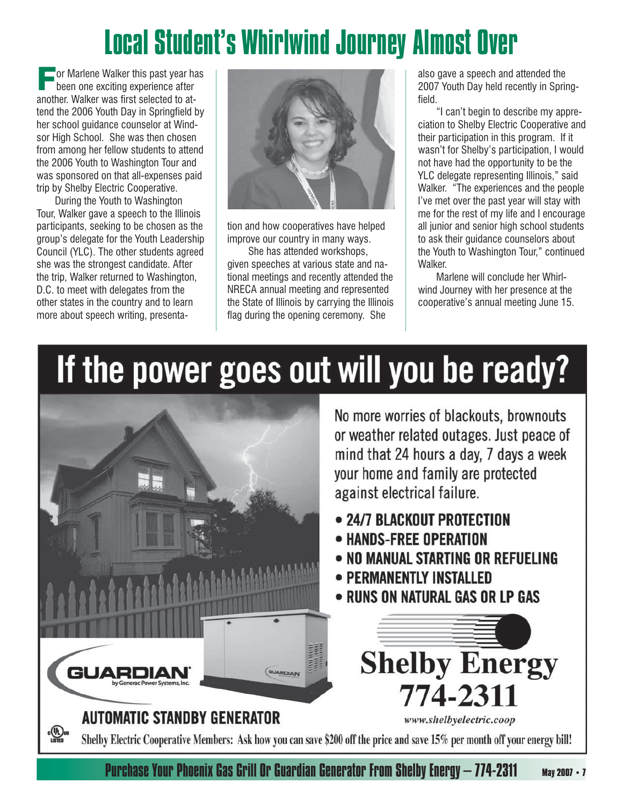# Local Student's Whirlwind Journey Almost Over

 $\Box$  or Marlene Walker this past year has been one exciting experience after another. Walker was first selected to attend the 2006 Youth Day in Springfield by her school guidance counselor at Windsor High School. She was then chosen from among her fellow students to attend the 2006 Youth to Washington Tour and was sponsored on that all-expenses paid trip by Shelby Electric Cooperative.

 During the Youth to Washington Tour, Walker gave a speech to the Illinois participants, seeking to be chosen as the group's delegate for the Youth Leadership Council (YLC). The other students agreed she was the strongest candidate. After the trip, Walker returned to Washington, D.C. to meet with delegates from the other states in the country and to learn more about speech writing, presenta-



tion and how cooperatives have helped improve our country in many ways.

 She has attended workshops, given speeches at various state and national meetings and recently attended the NRECA annual meeting and represented the State of Illinois by carrying the Illinois flag during the opening ceremony. She

also gave a speech and attended the 2007 Youth Day held recently in Springfield.

 "I can't begin to describe my appreciation to Shelby Electric Cooperative and their participation in this program. If it wasn't for Shelby's participation, I would not have had the opportunity to be the YLC delegate representing Illinois," said Walker. "The experiences and the people I've met over the past year will stay with me for the rest of my life and I encourage all junior and senior high school students to ask their guidance counselors about the Youth to Washington Tour," continued Walker.

 Marlene will conclude her Whirlwind Journey with her presence at the cooperative's annual meeting June 15.

# If the power goes out will you be ready?